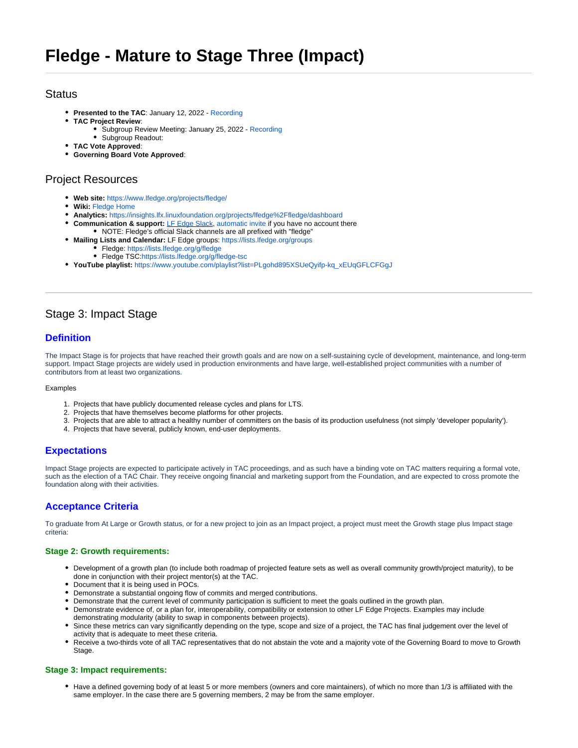## **Status**

- **Presented to the TAC**: January 12, 2022 - [Recording](https://zoom.us/rec/share/F8AdIxJ8ISxJOvOyBBIY4GnHYRtkHKygjXLW4CyvFdC_rlFMUr8tz2F3AyVG9Mc2.pvC33isozX2Weqof)
- **TAC Project Review**:
	- Subgroup Review Meeting: January 25, 2022 [Recording](https://zoom.us/rec/share/hrN0bbgazw6KfEdn_vR3P1TY7u0gzPWCprsHl9bymfTUc4xHyopgtlXul9eVqAgF.JY7fKmvjilPskGVZ?startTime=1643155125000) • Subgroup Readout:
- **TAC Vote Approved**:
- **Governing Board Vote Approved**:

## Project Resources

- **Web site:** <https://www.lfedge.org/projects/fledge/>
- **Wiki:** [Fledge Home](https://wiki.lfedge.org/display/FLEDGE/Fledge+Home)
- **Analytics:** <https://insights.lfx.linuxfoundation.org/projects/lfedge%2Ffledge/dashboard>
- **Communication & support:** [LF Edge Slack,](https://lfedge.slack.com/archives/C011XLC1V2Q) [automatic invite](https://join.slack.com/t/lfedge/shared_invite/zt-7kavdtmq-SeyFzM2CEABBcKYGEVCgkw) if you have no account there
- NOTE: Fledge's official Slack channels are all prefixed with "fledge"
- **Mailing Lists and Calendar:** LF Edge groups:<https://lists.lfedge.org/groups> Fledge:<https://lists.lfedge.org/g/fledge>
	- Fledge TSC[:https://lists.lfedge.org/g/fledge-tsc](https://lists.lfedge.org/g/fledge-tsc)
- **YouTube playlist:** [https://www.youtube.com/playlist?list=PLgohd895XSUeQyifp-kq\\_xEUqGFLCFGgJ](https://www.youtube.com/playlist?list=PLgohd895XSUeQyifp-kq_xEUqGFLCFGgJ)

## Stage 3: Impact Stage

## **Definition**

The Impact Stage is for projects that have reached their growth goals and are now on a self-sustaining cycle of development, maintenance, and long-term support. Impact Stage projects are widely used in production environments and have large, well-established project communities with a number of contributors from at least two organizations.

#### **Examples**

- 1. Projects that have publicly documented release cycles and plans for LTS.
- 2. Projects that have themselves become platforms for other projects.
- 3. Projects that are able to attract a healthy number of committers on the basis of its production usefulness (not simply 'developer popularity').
- 4. Projects that have several, publicly known, end-user deployments.

### **Expectations**

Impact Stage projects are expected to participate actively in TAC proceedings, and as such have a binding vote on TAC matters requiring a formal vote, such as the election of a TAC Chair. They receive ongoing financial and marketing support from the Foundation, and are expected to cross promote the foundation along with their activities.

## **Acceptance Criteria**

To graduate from At Large or Growth status, or for a new project to join as an Impact project, a project must meet the Growth stage plus Impact stage criteria:

#### **Stage 2: Growth requirements:**

- Development of a growth plan (to include both roadmap of projected feature sets as well as overall community growth/project maturity), to be done in conjunction with their project mentor(s) at the TAC.
- Document that it is being used in POCs.
- Demonstrate a substantial ongoing flow of commits and merged contributions.
- Demonstrate that the current level of community participation is sufficient to meet the goals outlined in the growth plan.
- Demonstrate evidence of, or a plan for, interoperability, compatibility or extension to other LF Edge Projects. Examples may include demonstrating modularity (ability to swap in components between projects).
- Since these metrics can vary significantly depending on the type, scope and size of a project, the TAC has final judgement over the level of activity that is adequate to meet these criteria.
- Receive a two-thirds vote of all TAC representatives that do not abstain the vote and a majority vote of the Governing Board to move to Growth Stage.

#### **Stage 3: Impact requirements:**

• Have a defined governing body of at least 5 or more members (owners and core maintainers), of which no more than 1/3 is affiliated with the same employer. In the case there are 5 governing members, 2 may be from the same employer.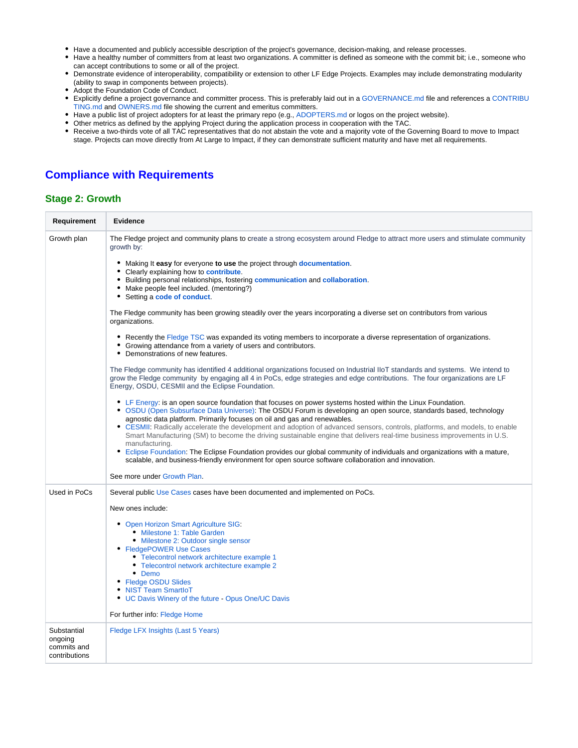- Have a documented and publicly accessible description of the project's governance, decision-making, and release processes.
- Have a healthy number of committers from at least two organizations. A committer is defined as someone with the commit bit; i.e., someone who can accept contributions to some or all of the project.
- Demonstrate evidence of interoperability, compatibility or extension to other LF Edge Projects. Examples may include demonstrating modularity (ability to swap in components between projects).
- Adopt the Foundation Code of Conduct.
- Explicitly define a project governance and committer process. This is preferably laid out in a [GOVERNANCE.md](http://governance.md/) file and references a [CONTRIBU](http://contributing.md/) [TING.md](http://contributing.md/) and [OWNERS.md](http://owners.md/) file showing the current and emeritus committers.
- Have a public list of project adopters for at least the primary repo (e.g., [ADOPTERS.md](http://adopters.md/) or logos on the project website).
- Other metrics as defined by the applying Project during the application process in cooperation with the TAC.
- Receive a two-thirds vote of all TAC representatives that do not abstain the vote and a majority vote of the Governing Board to move to Impact stage. Projects can move directly from At Large to Impact, if they can demonstrate sufficient maturity and have met all requirements.

# **Compliance with Requirements**

### **Stage 2: Growth**

| Requirement                                            | <b>Evidence</b>                                                                                                                                                                                                                                                                                                                                                                                                                                                                                                                                                                                                                                                                                                                                                                                                                                            |
|--------------------------------------------------------|------------------------------------------------------------------------------------------------------------------------------------------------------------------------------------------------------------------------------------------------------------------------------------------------------------------------------------------------------------------------------------------------------------------------------------------------------------------------------------------------------------------------------------------------------------------------------------------------------------------------------------------------------------------------------------------------------------------------------------------------------------------------------------------------------------------------------------------------------------|
| Growth plan                                            | The Fledge project and community plans to create a strong ecosystem around Fledge to attract more users and stimulate community<br>growth by:                                                                                                                                                                                                                                                                                                                                                                                                                                                                                                                                                                                                                                                                                                              |
|                                                        | • Making It easy for everyone to use the project through documentation.                                                                                                                                                                                                                                                                                                                                                                                                                                                                                                                                                                                                                                                                                                                                                                                    |
|                                                        | • Clearly explaining how to contribute.<br>• Building personal relationships, fostering communication and collaboration.<br>• Make people feel included. (mentoring?)<br>• Setting a code of conduct.                                                                                                                                                                                                                                                                                                                                                                                                                                                                                                                                                                                                                                                      |
|                                                        | The Fledge community has been growing steadily over the years incorporating a diverse set on contributors from various<br>organizations.                                                                                                                                                                                                                                                                                                                                                                                                                                                                                                                                                                                                                                                                                                                   |
|                                                        | • Recently the Fledge TSC was expanded its voting members to incorporate a diverse representation of organizations.<br>• Growing attendance from a variety of users and contributors.<br>• Demonstrations of new features.                                                                                                                                                                                                                                                                                                                                                                                                                                                                                                                                                                                                                                 |
|                                                        | The Fledge community has identified 4 additional organizations focused on Industrial IIoT standards and systems. We intend to<br>grow the Fledge community by engaging all 4 in PoCs, edge strategies and edge contributions. The four organizations are LF<br>Energy, OSDU, CESMII and the Eclipse Foundation.                                                                                                                                                                                                                                                                                                                                                                                                                                                                                                                                            |
|                                                        | • LF Energy: is an open source foundation that focuses on power systems hosted within the Linux Foundation.<br>• OSDU (Open Subsurface Data Universe): The OSDU Forum is developing an open source, standards based, technology<br>agnostic data platform. Primarily focuses on oil and gas and renewables.<br>• CESMII: Radically accelerate the development and adoption of advanced sensors, controls, platforms, and models, to enable<br>Smart Manufacturing (SM) to become the driving sustainable engine that delivers real-time business improvements in U.S.<br>manufacturing.<br>• Eclipse Foundation: The Eclipse Foundation provides our global community of individuals and organizations with a mature,<br>scalable, and business-friendly environment for open source software collaboration and innovation.<br>See more under Growth Plan. |
| Used in PoCs                                           | Several public Use Cases cases have been documented and implemented on PoCs.                                                                                                                                                                                                                                                                                                                                                                                                                                                                                                                                                                                                                                                                                                                                                                               |
|                                                        | New ones include:                                                                                                                                                                                                                                                                                                                                                                                                                                                                                                                                                                                                                                                                                                                                                                                                                                          |
|                                                        | • Open Horizon Smart Agriculture SIG:                                                                                                                                                                                                                                                                                                                                                                                                                                                                                                                                                                                                                                                                                                                                                                                                                      |
|                                                        | • Milestone 1: Table Garden<br>• Milestone 2: Outdoor single sensor                                                                                                                                                                                                                                                                                                                                                                                                                                                                                                                                                                                                                                                                                                                                                                                        |
|                                                        | • FledgePOWER Use Cases                                                                                                                                                                                                                                                                                                                                                                                                                                                                                                                                                                                                                                                                                                                                                                                                                                    |
|                                                        | • Telecontrol network architecture example 1<br>• Telecontrol network architecture example 2                                                                                                                                                                                                                                                                                                                                                                                                                                                                                                                                                                                                                                                                                                                                                               |
|                                                        | • Demo<br>• Fledge OSDU Slides                                                                                                                                                                                                                                                                                                                                                                                                                                                                                                                                                                                                                                                                                                                                                                                                                             |
|                                                        | • NIST Team SmartIoT<br>• UC Davis Winery of the future - Opus One/UC Davis                                                                                                                                                                                                                                                                                                                                                                                                                                                                                                                                                                                                                                                                                                                                                                                |
|                                                        | For further info: Fledge Home                                                                                                                                                                                                                                                                                                                                                                                                                                                                                                                                                                                                                                                                                                                                                                                                                              |
| Substantial<br>ongoing<br>commits and<br>contributions | Fledge LFX Insights (Last 5 Years)                                                                                                                                                                                                                                                                                                                                                                                                                                                                                                                                                                                                                                                                                                                                                                                                                         |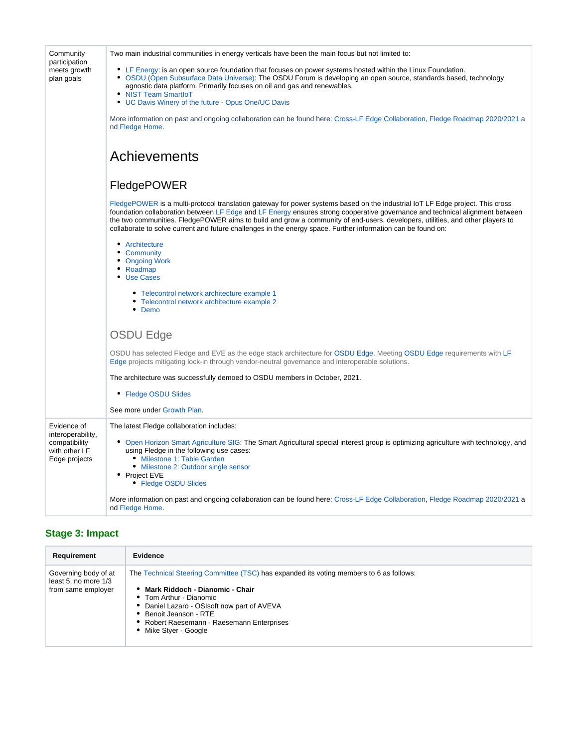| Community<br>participation<br>meets growth<br>plan goals                            | Two main industrial communities in energy verticals have been the main focus but not limited to:                                                                                                                                                                                                                                                                                                                                                                                                               |
|-------------------------------------------------------------------------------------|----------------------------------------------------------------------------------------------------------------------------------------------------------------------------------------------------------------------------------------------------------------------------------------------------------------------------------------------------------------------------------------------------------------------------------------------------------------------------------------------------------------|
|                                                                                     | • LF Energy: is an open source foundation that focuses on power systems hosted within the Linux Foundation.<br>• OSDU (Open Subsurface Data Universe): The OSDU Forum is developing an open source, standards based, technology<br>agnostic data platform. Primarily focuses on oil and gas and renewables.<br>• NIST Team SmartIoT                                                                                                                                                                            |
|                                                                                     | • UC Davis Winery of the future - Opus One/UC Davis                                                                                                                                                                                                                                                                                                                                                                                                                                                            |
|                                                                                     | More information on past and ongoing collaboration can be found here: Cross-LF Edge Collaboration, Fledge Roadmap 2020/2021 a<br>nd Fledge Home.                                                                                                                                                                                                                                                                                                                                                               |
|                                                                                     | Achievements                                                                                                                                                                                                                                                                                                                                                                                                                                                                                                   |
|                                                                                     | FledgePOWER                                                                                                                                                                                                                                                                                                                                                                                                                                                                                                    |
|                                                                                     | FledgePOWER is a multi-protocol translation gateway for power systems based on the industrial IoT LF Edge project. This cross<br>foundation collaboration between LF Edge and LF Energy ensures strong cooperative governance and technical alignment between<br>the two communities. FledgePOWER aims to build and grow a community of end-users, developers, utilities, and other players to<br>collaborate to solve current and future challenges in the energy space. Further information can be found on: |
|                                                                                     | • Architecture<br>• Community<br>• Ongoing Work<br>• Roadmap<br>• Use Cases                                                                                                                                                                                                                                                                                                                                                                                                                                    |
|                                                                                     | • Telecontrol network architecture example 1<br>Telecontrol network architecture example 2<br>Demo                                                                                                                                                                                                                                                                                                                                                                                                             |
|                                                                                     | <b>OSDU Edge</b>                                                                                                                                                                                                                                                                                                                                                                                                                                                                                               |
|                                                                                     | OSDU has selected Fledge and EVE as the edge stack architecture for OSDU Edge. Meeting OSDU Edge requirements with LF<br>Edge projects mitigating lock-in through vendor-neutral governance and interoperable solutions.                                                                                                                                                                                                                                                                                       |
|                                                                                     | The architecture was successfully demoed to OSDU members in October, 2021.                                                                                                                                                                                                                                                                                                                                                                                                                                     |
|                                                                                     | • Fledge OSDU Slides                                                                                                                                                                                                                                                                                                                                                                                                                                                                                           |
|                                                                                     | See more under Growth Plan.                                                                                                                                                                                                                                                                                                                                                                                                                                                                                    |
| Evidence of<br>interoperability,<br>compatibility<br>with other LF<br>Edge projects | The latest Fledge collaboration includes:                                                                                                                                                                                                                                                                                                                                                                                                                                                                      |
|                                                                                     | • Open Horizon Smart Agriculture SIG: The Smart Agricultural special interest group is optimizing agriculture with technology, and<br>using Fledge in the following use cases:<br>• Milestone 1: Table Garden<br>• Milestone 2: Outdoor single sensor<br>• Project EVE                                                                                                                                                                                                                                         |
|                                                                                     | • Fledge OSDU Slides                                                                                                                                                                                                                                                                                                                                                                                                                                                                                           |
|                                                                                     | More information on past and ongoing collaboration can be found here: Cross-LF Edge Collaboration, Fledge Roadmap 2020/2021 a<br>nd Fledge Home.                                                                                                                                                                                                                                                                                                                                                               |

# **Stage 3: Impact**

| Requirement                                                        | Evidence                                                                                                                                                                                                                                                                                          |
|--------------------------------------------------------------------|---------------------------------------------------------------------------------------------------------------------------------------------------------------------------------------------------------------------------------------------------------------------------------------------------|
| Governing body of at<br>least 5, no more 1/3<br>from same employer | The Technical Steering Committee (TSC) has expanded its voting members to 6 as follows:<br>• Mark Riddoch - Dianomic - Chair<br>• Tom Arthur - Dianomic<br>Daniel Lazaro - OSIsoft now part of AVEVA<br>Benoit Jeanson - RTE<br>Robert Raesemann - Raesemann Enterprises<br>• Mike Styer - Google |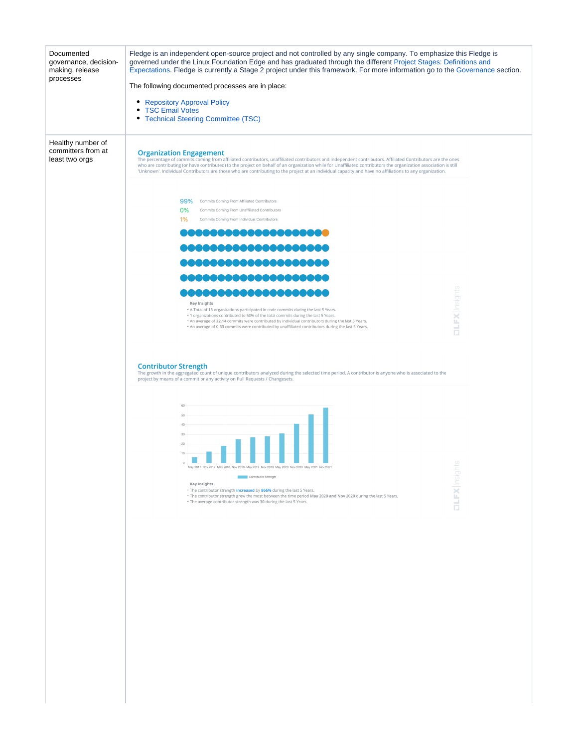